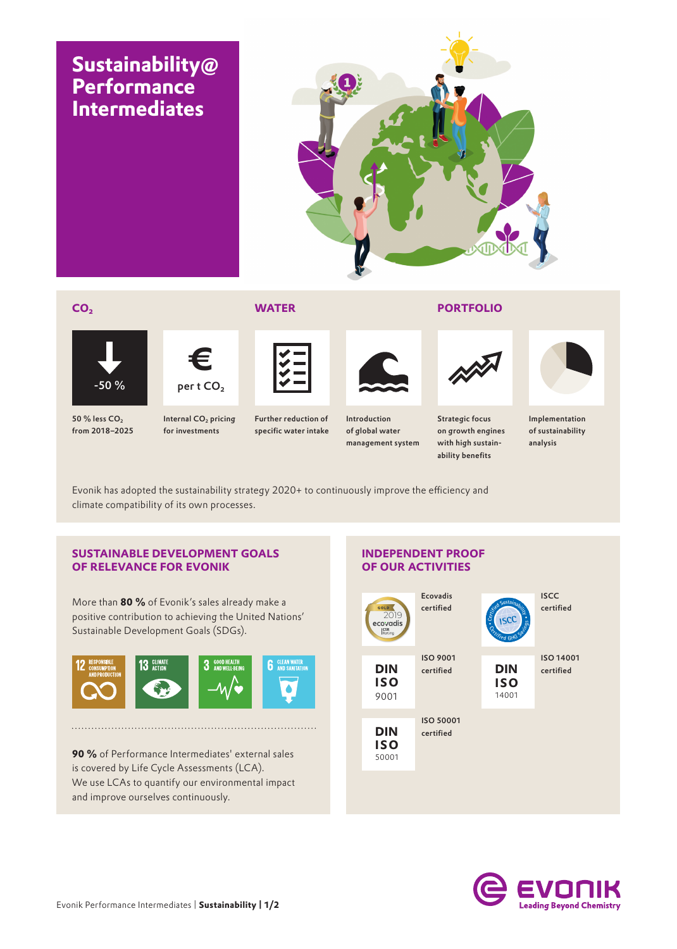## **Sustainability@ Performance Intermediates**



### **CO2 WATER PORTFOLIO**



**€**

 $50 \%$  less  $CO<sub>2</sub>$ from 2018–2025

Internal CO<sub>2</sub> pricing  $-50\%$  pert CO<sub>2</sub>

for investments

Further reduction of specific water intake



Introduction of global water management system



Strategic focus on growth engines with high sustainability benefits



Implementation of sustainability analysis

Evonik has adopted the sustainability strategy 2020+ to continuously improve the efficiency and climate compatibility of its own processes.

### **SUSTAINABLE DEVELOPMENT GOALS OF RELEVANCE FOR EVONIK**

More than **80 %** of Evonik's sales already make a positive contribution to achieving the United Nations' Sustainable Development Goals (SDGs).



**90 %** of Performance Intermediates' external sales is covered by Life Cycle Assessments (LCA). We use LCAs to quantify our environmental impact and improve ourselves continuously.

### **INDEPENDENT PROOF OF OUR ACTIVITIES**



**ISCC** certified